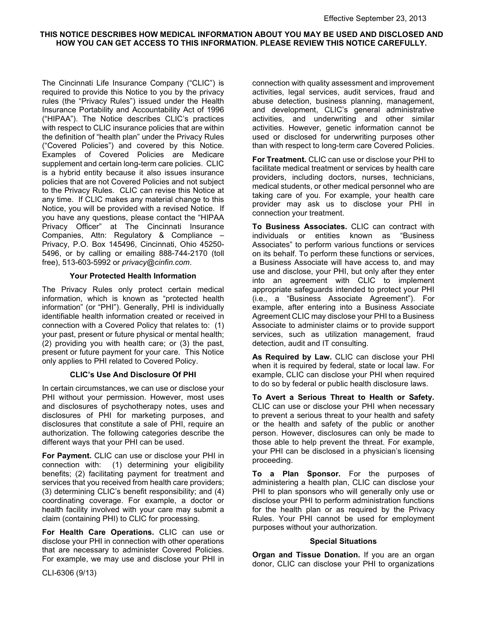# THIS NOTICE DESCRIBES HOW MEDICAL INFORMATION ABOUT YOU MAY BE USED AND DISCLOSED AND HOW YOU CAN GET ACCESS TO THIS INFORMATION. PLEASE REVIEW THIS NOTICE CAREFULLY.

The Cincinnati Life Insurance Company ("CLIC") is required to provide this Notice to you by the privacy rules (the "Privacy Rules") issued under the Health Insurance Portability and Accountability Act of 1996 ("HIPAA"). The Notice describes CLIC's practices with respect to CLIC insurance policies that are within the definition of "health plan" under the Privacy Rules ("Covered Policies") and covered by this Notice. Examples of Covered Policies are Medicare supplement and certain long-term care policies. CLIC is a hybrid entity because it also issues insurance policies that are not Covered Policies and not subject to the Privacy Rules. CLIC can revise this Notice at any time. If CLIC makes any material change to this Notice, you will be provided with a revised Notice. If you have any questions, please contact the "HIPAA Privacy Officer" at The Cincinnati Insurance Companies, Attn: Regulatory & Compliance – Privacy, P.O. Box 145496, Cincinnati, Ohio 45250- 5496, or by calling or emailing 888-744-2170 (toll free), 513-603-5992 or privacy@cinfin.com.

## Your Protected Health Information

The Privacy Rules only protect certain medical information, which is known as "protected health information" (or "PHI"). Generally, PHI is individually identifiable health information created or received in connection with a Covered Policy that relates to: (1) your past, present or future physical or mental health; (2) providing you with health care; or (3) the past, present or future payment for your care. This Notice only applies to PHI related to Covered Policy.

## CLIC's Use And Disclosure Of PHI

In certain circumstances, we can use or disclose your PHI without your permission. However, most uses and disclosures of psychotherapy notes, uses and disclosures of PHI for marketing purposes, and disclosures that constitute a sale of PHI, require an authorization. The following categories describe the different ways that your PHI can be used.

For Payment. CLIC can use or disclose your PHI in connection with: (1) determining your eligibility benefits; (2) facilitating payment for treatment and services that you received from health care providers; (3) determining CLIC's benefit responsibility; and (4) coordinating coverage. For example, a doctor or health facility involved with your care may submit a claim (containing PHI) to CLIC for processing.

For Health Care Operations. CLIC can use or disclose your PHI in connection with other operations that are necessary to administer Covered Policies. For example, we may use and disclose your PHI in

connection with quality assessment and improvement activities, legal services, audit services, fraud and abuse detection, business planning, management, and development, CLIC's general administrative activities, and underwriting and other similar activities. However, genetic information cannot be used or disclosed for underwriting purposes other than with respect to long-term care Covered Policies.

For Treatment. CLIC can use or disclose your PHI to facilitate medical treatment or services by health care providers, including doctors, nurses, technicians, medical students, or other medical personnel who are taking care of you. For example, your health care provider may ask us to disclose your PHI in connection your treatment.

To Business Associates. CLIC can contract with individuals or entities known as "Business Associates" to perform various functions or services on its behalf. To perform these functions or services, a Business Associate will have access to, and may use and disclose, your PHI, but only after they enter into an agreement with CLIC to implement appropriate safeguards intended to protect your PHI (i.e., a "Business Associate Agreement"). For example, after entering into a Business Associate Agreement CLIC may disclose your PHI to a Business Associate to administer claims or to provide support services, such as utilization management, fraud detection, audit and IT consulting.

As Required by Law. CLIC can disclose your PHI when it is required by federal, state or local law. For example, CLIC can disclose your PHI when required to do so by federal or public health disclosure laws.

To Avert a Serious Threat to Health or Safety. CLIC can use or disclose your PHI when necessary to prevent a serious threat to your health and safety or the health and safety of the public or another person. However, disclosures can only be made to those able to help prevent the threat. For example, your PHI can be disclosed in a physician's licensing proceeding.

To a Plan Sponsor. For the purposes of administering a health plan, CLIC can disclose your PHI to plan sponsors who will generally only use or disclose your PHI to perform administration functions for the health plan or as required by the Privacy Rules. Your PHI cannot be used for employment purposes without your authorization.

## Special Situations

Organ and Tissue Donation. If you are an organ donor, CLIC can disclose your PHI to organizations

CLI-6306 (9/13)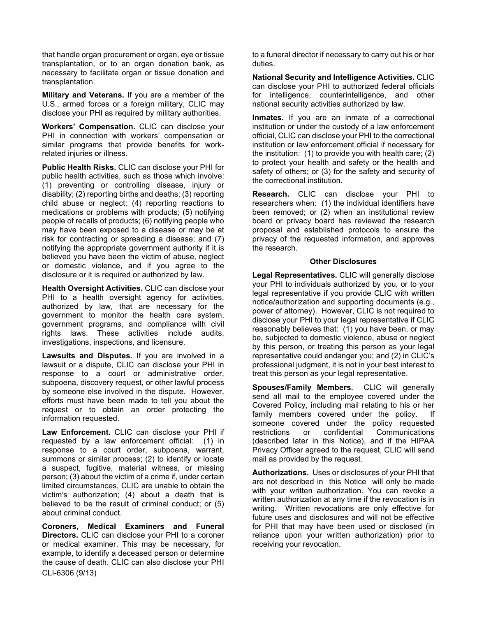that handle organ procurement or organ, eye or tissue transplantation, or to an organ donation bank, as necessary to facilitate organ or tissue donation and transplantation.

Military and Veterans. If you are a member of the U.S., armed forces or a foreign military, CLIC may disclose your PHI as required by military authorities.

Workers' Compensation. CLIC can disclose your PHI in connection with workers' compensation or similar programs that provide benefits for workrelated injuries or illness.

Public Health Risks. CLIC can disclose your PHI for public health activities, such as those which involve: (1) preventing or controlling disease, injury or disability; (2) reporting births and deaths; (3) reporting child abuse or neglect; (4) reporting reactions to medications or problems with products; (5) notifying people of recalls of products; (6) notifying people who may have been exposed to a disease or may be at risk for contracting or spreading a disease; and (7) notifying the appropriate government authority if it is believed you have been the victim of abuse, neglect or domestic violence, and if you agree to the disclosure or it is required or authorized by law.

Health Oversight Activities. CLIC can disclose your PHI to a health oversight agency for activities, authorized by law, that are necessary for the government to monitor the health care system, government programs, and compliance with civil rights laws. These activities include audits, investigations, inspections, and licensure.

Lawsuits and Disputes. If you are involved in a lawsuit or a dispute, CLIC can disclose your PHI in response to a court or administrative order, subpoena, discovery request, or other lawful process by someone else involved in the dispute. However, efforts must have been made to tell you about the request or to obtain an order protecting the information requested.

Law Enforcement. CLIC can disclose your PHI if requested by a law enforcement official: (1) in response to a court order, subpoena, warrant, summons or similar process; (2) to identify or locate a suspect, fugitive, material witness, or missing person; (3) about the victim of a crime if, under certain limited circumstances, CLIC are unable to obtain the victim's authorization; (4) about a death that is believed to be the result of criminal conduct; or (5) about criminal conduct.

CLI-6306 (9/13) Coroners, Medical Examiners and Funeral Directors. CLIC can disclose your PHI to a coroner or medical examiner. This may be necessary, for example, to identify a deceased person or determine the cause of death. CLIC can also disclose your PHI to a funeral director if necessary to carry out his or her duties.

National Security and Intelligence Activities. CLIC can disclose your PHI to authorized federal officials for intelligence, counterintelligence, and other national security activities authorized by law.

Inmates. If you are an inmate of a correctional institution or under the custody of a law enforcement official, CLIC can disclose your PHI to the correctional institution or law enforcement official if necessary for the institution: (1) to provide you with health care; (2) to protect your health and safety or the health and safety of others; or (3) for the safety and security of the correctional institution.

Research. CLIC can disclose your PHI to researchers when: (1) the individual identifiers have been removed; or (2) when an institutional review board or privacy board has reviewed the research proposal and established protocols to ensure the privacy of the requested information, and approves the research.

## Other Disclosures

Legal Representatives. CLIC will generally disclose your PHI to individuals authorized by you, or to your legal representative if you provide CLIC with written notice/authorization and supporting documents (e.g., power of attorney). However, CLIC is not required to disclose your PHI to your legal representative if CLIC reasonably believes that: (1) you have been, or may be, subjected to domestic violence, abuse or neglect by this person, or treating this person as your legal representative could endanger you; and (2) in CLIC's professional judgment, it is not in your best interest to treat this person as your legal representative.

Spouses/Family Members. CLIC will generally send all mail to the employee covered under the Covered Policy, including mail relating to his or her family members covered under the policy. If someone covered under the policy requested restrictions or confidential Communications (described later in this Notice), and if the HIPAA Privacy Officer agreed to the request, CLIC will send mail as provided by the request.

Authorizations. Uses or disclosures of your PHI that are not described in this Notice will only be made with your written authorization. You can revoke a written authorization at any time if the revocation is in writing. Written revocations are only effective for future uses and disclosures and will not be effective for PHI that may have been used or disclosed (in reliance upon your written authorization) prior to receiving your revocation.